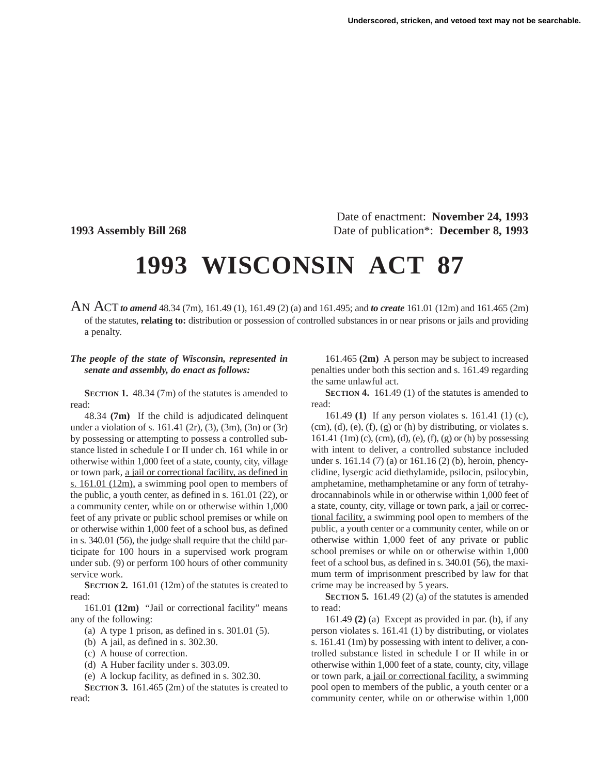Date of enactment: **November 24, 1993 1993 Assembly Bill 268** Date of publication\*: **December 8, 1993**

## **1993 WISCONSIN ACT 87**

AN ACT*to amend* 48.34 (7m), 161.49 (1), 161.49 (2) (a) and 161.495; and *to create* 161.01 (12m) and 161.465 (2m) of the statutes, **relating to:** distribution or possession of controlled substances in or near prisons or jails and providing a penalty.

## *The people of the state of Wisconsin, represented in senate and assembly, do enact as follows:*

**SECTION 1.** 48.34 (7m) of the statutes is amended to read:

48.34 **(7m)** If the child is adjudicated delinquent under a violation of s. 161.41 (2r), (3), (3m), (3n) or (3r) by possessing or attempting to possess a controlled substance listed in schedule I or II under ch. 161 while in or otherwise within 1,000 feet of a state, county, city, village or town park, a jail or correctional facility, as defined in s. 161.01 (12m), a swimming pool open to members of the public, a youth center, as defined in s. 161.01 (22), or a community center, while on or otherwise within 1,000 feet of any private or public school premises or while on or otherwise within 1,000 feet of a school bus, as defined in s. 340.01 (56), the judge shall require that the child participate for 100 hours in a supervised work program under sub. (9) or perform 100 hours of other community service work.

**SECTION 2.** 161.01 (12m) of the statutes is created to read:

161.01 **(12m)** "Jail or correctional facility" means any of the following:

- (a) A type 1 prison, as defined in s. 301.01 (5).
- (b) A jail, as defined in s. 302.30.
- (c) A house of correction.
- (d) A Huber facility under s. 303.09.
- (e) A lockup facility, as defined in s. 302.30.

**SECTION 3.** 161.465 (2m) of the statutes is created to read:

161.465 **(2m)** A person may be subject to increased penalties under both this section and s. 161.49 regarding the same unlawful act.

**SECTION 4.** 161.49 (1) of the statutes is amended to read:

161.49 **(1)** If any person violates s. 161.41 (1) (c),  $(cm)$ , (d), (e), (f), (g) or (h) by distributing, or violates s. 161.41 (1m) (c), (cm), (d), (e), (f), (g) or (h) by possessing with intent to deliver, a controlled substance included under s. 161.14 (7) (a) or 161.16 (2) (b), heroin, phencyclidine, lysergic acid diethylamide, psilocin, psilocybin, amphetamine, methamphetamine or any form of tetrahydrocannabinols while in or otherwise within 1,000 feet of a state, county, city, village or town park, a jail or correctional facility, a swimming pool open to members of the public, a youth center or a community center, while on or otherwise within 1,000 feet of any private or public school premises or while on or otherwise within 1,000 feet of a school bus, as defined in s. 340.01 (56), the maximum term of imprisonment prescribed by law for that crime may be increased by 5 years.

**SECTION 5.** 161.49 (2) (a) of the statutes is amended to read:

161.49 **(2)** (a) Except as provided in par. (b), if any person violates s. 161.41 (1) by distributing, or violates s. 161.41 (1m) by possessing with intent to deliver, a controlled substance listed in schedule I or II while in or otherwise within 1,000 feet of a state, county, city, village or town park, a jail or correctional facility, a swimming pool open to members of the public, a youth center or a community center, while on or otherwise within 1,000